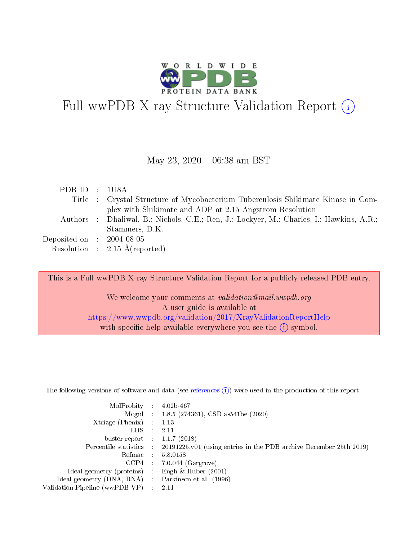

# Full wwPDB X-ray Structure Validation Report  $(i)$

### May 23,  $2020 - 06:38$  am BST

| PDB ID : 1U8A               |                                                                                          |
|-----------------------------|------------------------------------------------------------------------------------------|
|                             | Title : Crystal Structure of Mycobacterium Tuberculosis Shikimate Kinase in Com-         |
|                             | plex with Shikimate and ADP at 2.15 Angstrom Resolution                                  |
|                             | Authors : Dhaliwal, B.; Nichols, C.E.; Ren, J.; Lockyer, M.; Charles, I.; Hawkins, A.R.; |
|                             | Stammers, D.K.                                                                           |
| Deposited on : $2004-08-05$ |                                                                                          |
|                             | Resolution : $2.15 \text{ Å}$ (reported)                                                 |

This is a Full wwPDB X-ray Structure Validation Report for a publicly released PDB entry.

We welcome your comments at validation@mail.wwpdb.org A user guide is available at <https://www.wwpdb.org/validation/2017/XrayValidationReportHelp> with specific help available everywhere you see the  $(i)$  symbol.

The following versions of software and data (see [references](https://www.wwpdb.org/validation/2017/XrayValidationReportHelp#references)  $(1)$ ) were used in the production of this report:

| MolProbity :                   |               | $4.02b - 467$                                                                |
|--------------------------------|---------------|------------------------------------------------------------------------------|
|                                |               | Mogul : $1.8.5$ (274361), CSD as 541be (2020)                                |
| Xtriage (Phenix)               | $\mathcal{L}$ | 1.13                                                                         |
| EDS.                           |               | 2.11                                                                         |
| buster-report : $1.1.7$ (2018) |               |                                                                              |
| Percentile statistics :        |               | $20191225 \text{ v}01$ (using entries in the PDB archive December 25th 2019) |
| Refmac :                       |               | 5.8.0158                                                                     |
| CCP4                           |               | $7.0.044$ (Gargrove)                                                         |
| Ideal geometry (proteins) :    |               | Engh & Huber $(2001)$                                                        |
| Ideal geometry (DNA, RNA) :    |               | Parkinson et al. (1996)                                                      |
| Validation Pipeline (wwPDB-VP) | $\mathcal{L}$ | 2.11                                                                         |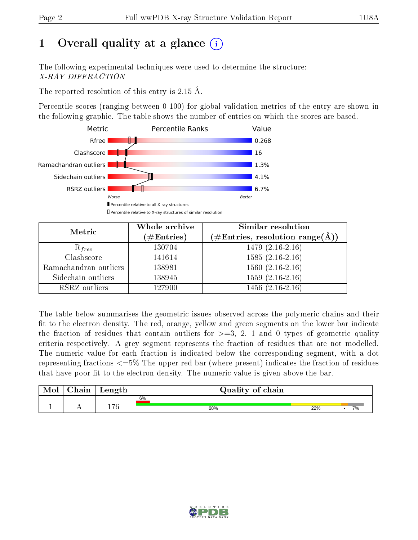# 1 [O](https://www.wwpdb.org/validation/2017/XrayValidationReportHelp#overall_quality)verall quality at a glance  $(i)$

The following experimental techniques were used to determine the structure: X-RAY DIFFRACTION

The reported resolution of this entry is 2.15 Å.

Percentile scores (ranging between 0-100) for global validation metrics of the entry are shown in the following graphic. The table shows the number of entries on which the scores are based.



| Metric                | Whole archive<br>$(\#\text{Entries})$ | Similar resolution<br>$(\#\text{Entries},\,\text{resolution}\,\,\text{range}(\textup{\AA}))$ |
|-----------------------|---------------------------------------|----------------------------------------------------------------------------------------------|
| $R_{free}$            | 130704                                | $1479(2.16-2.16)$                                                                            |
| Clashscore            | 141614                                | $1585(2.16-2.16)$                                                                            |
| Ramachandran outliers | 138981                                | $1560(2.16-2.16)$                                                                            |
| Sidechain outliers    | 138945                                | $1559(2.16-2.16)$                                                                            |
| RSRZ outliers         | 127900                                | $1456(2.16-2.16)$                                                                            |

The table below summarises the geometric issues observed across the polymeric chains and their fit to the electron density. The red, orange, yellow and green segments on the lower bar indicate the fraction of residues that contain outliers for  $>=3, 2, 1$  and 0 types of geometric quality criteria respectively. A grey segment represents the fraction of residues that are not modelled. The numeric value for each fraction is indicated below the corresponding segment, with a dot representing fractions <=5% The upper red bar (where present) indicates the fraction of residues that have poor fit to the electron density. The numeric value is given above the bar.

| Mol | $\cap$ hain | Length       | Quality of chain |     |    |  |  |  |
|-----|-------------|--------------|------------------|-----|----|--|--|--|
|     |             |              | 6%               |     |    |  |  |  |
|     |             | $1 \nabla C$ | 68%              | 22% | 7% |  |  |  |

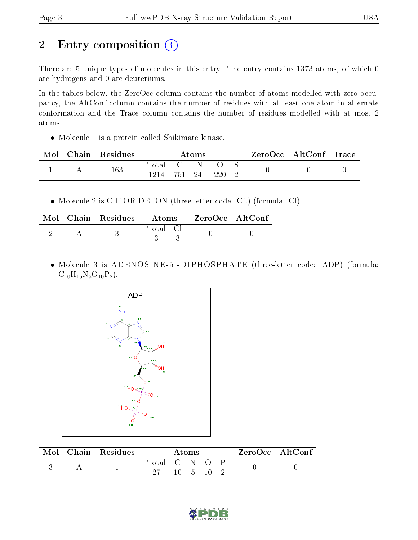# 2 Entry composition (i)

There are 5 unique types of molecules in this entry. The entry contains 1373 atoms, of which 0 are hydrogens and 0 are deuteriums.

In the tables below, the ZeroOcc column contains the number of atoms modelled with zero occupancy, the AltConf column contains the number of residues with at least one atom in alternate conformation and the Trace column contains the number of residues modelled with at most 2 atoms.

Molecule 1 is a protein called Shikimate kinase.

| Mol | Chain | Residues | $\rm{Atoms}$ |  |     | $\text{ZeroOcc}$   AltConf   Trace |  |  |  |
|-----|-------|----------|--------------|--|-----|------------------------------------|--|--|--|
|     |       | 163      | fota<br>1214 |  | 94° |                                    |  |  |  |

Molecule 2 is CHLORIDE ION (three-letter code: CL) (formula: Cl).

|  | $Mol$   Chain   Residues | Atoms   | ZeroOcc   AltConf |  |
|--|--------------------------|---------|-------------------|--|
|  |                          | Total C |                   |  |

• Molecule 3 is ADENOSINE-5'-DIPHOSPHATE (three-letter code: ADP) (formula:  $C_{10}H_{15}N_5O_{10}P_2$ .



| Mol | $Chain   Residues$ | Atoms       |     |  |  | $ZeroOcc \mid AltConf \mid$ |  |  |
|-----|--------------------|-------------|-----|--|--|-----------------------------|--|--|
|     |                    | Total C N O |     |  |  |                             |  |  |
|     |                    |             | 10. |  |  |                             |  |  |

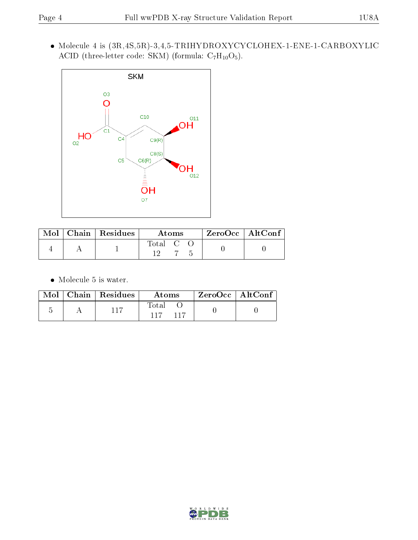$\bullet$  Molecule 4 is (3R,4S,5R)-3,4,5-TRIHYDROXYCYCLOHEX-1-ENE-1-CARBOXYLIC ACID (three-letter code: SKM) (formula:  $C_7H_{10}O_5$ ).



|  | $\text{Mol}$   Chain   Residues | Atoms |  | $ZeroOcc \mid AltConf$ |
|--|---------------------------------|-------|--|------------------------|
|  |                                 | Total |  |                        |

 $\bullet\,$  Molecule 5 is water.

|  | $\boxed{\text{Mol}}$ Chain   Residues | Atoms                  | ' ZeroOcc   AltConf |  |
|--|---------------------------------------|------------------------|---------------------|--|
|  | 117                                   | Total<br>$-117$<br>117 |                     |  |

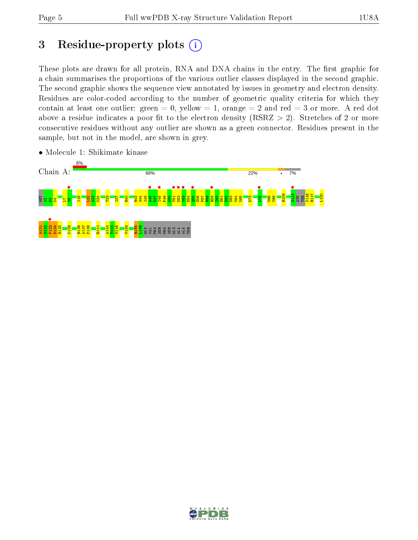# 3 Residue-property plots  $(i)$

These plots are drawn for all protein, RNA and DNA chains in the entry. The first graphic for a chain summarises the proportions of the various outlier classes displayed in the second graphic. The second graphic shows the sequence view annotated by issues in geometry and electron density. Residues are color-coded according to the number of geometric quality criteria for which they contain at least one outlier: green  $= 0$ , yellow  $= 1$ , orange  $= 2$  and red  $= 3$  or more. A red dot above a residue indicates a poor fit to the electron density (RSRZ  $> 2$ ). Stretches of 2 or more consecutive residues without any outlier are shown as a green connector. Residues present in the sample, but not in the model, are shown in grey.



• Molecule 1: Shikimate kinase

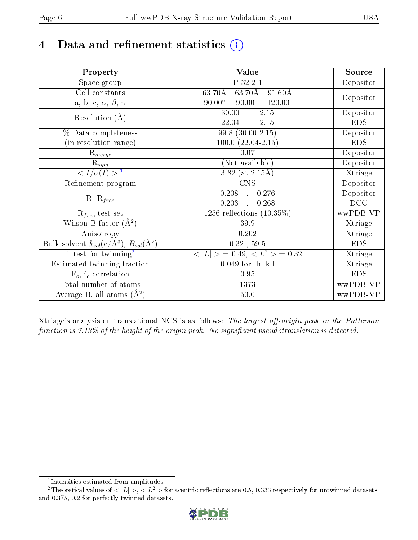# 4 Data and refinement statistics  $(i)$

| Property                                                             | Value                                                       | Source     |
|----------------------------------------------------------------------|-------------------------------------------------------------|------------|
| Space group                                                          | P 32 2 1                                                    | Depositor  |
| Cell constants                                                       | $63.70\text{\AA}$<br>$63.70\text{\AA}$<br>$91.60\text{\AA}$ |            |
| a, b, c, $\alpha$ , $\beta$ , $\gamma$                               | $90.00^\circ$<br>$90.00^\circ$<br>$120.00^{\circ}$          | Depositor  |
| Resolution $(A)$                                                     | 30.00<br>$-2.15$                                            | Depositor  |
|                                                                      | 22.04<br>$-2.15$                                            | <b>EDS</b> |
| % Data completeness                                                  | $99.8(30.00-2.15)$                                          | Depositor  |
| (in resolution range)                                                | $100.0 (22.04 - 2.15)$                                      | <b>EDS</b> |
| $\mathrm{R}_{merge}$                                                 | 0.07                                                        | Depositor  |
| $\mathrm{R}_{sym}$                                                   | (Not available)                                             | Depositor  |
| $\langle I/\sigma(I) \rangle$ <sup>1</sup>                           | 3.82 (at $2.15\text{\AA}$ )                                 | Xtriage    |
| Refinement program                                                   | $\overline{\text{CNS}}$                                     | Depositor  |
|                                                                      | 0.208<br>0.276<br>$\overline{\phantom{a}}$                  | Depositor  |
| $R, R_{free}$                                                        | 0.203<br>0.268<br>$\mathbf{A}$                              | DCC        |
| $R_{free}$ test set                                                  | 1256 reflections $(10.35\%)$                                | wwPDB-VP   |
| Wilson B-factor $(A^2)$                                              | 39.9                                                        | Xtriage    |
| Anisotropy                                                           | 0.202                                                       | Xtriage    |
| Bulk solvent $k_{sol}(e/\mathring{A}^3)$ , $B_{sol}(\mathring{A}^2)$ | $0.32$ , 59.5                                               | <b>EDS</b> |
| $L$ -test for twinning <sup>2</sup>                                  | $< L >$ = 0.49, $< L2$ = 0.32                               | Xtriage    |
| Estimated twinning fraction                                          | $0.049$ for $-h,-k,l$                                       | Xtriage    |
| $F_o, F_c$ correlation                                               | 0.95                                                        | <b>EDS</b> |
| Total number of atoms                                                | 1373                                                        | wwPDB-VP   |
| Average B, all atoms $(A^2)$                                         | 50.0                                                        | wwPDB-VP   |

Xtriage's analysis on translational NCS is as follows: The largest off-origin peak in the Patterson function is  $7.13\%$  of the height of the origin peak. No significant pseudotranslation is detected.

<sup>&</sup>lt;sup>2</sup>Theoretical values of  $\langle |L| \rangle$ ,  $\langle L^2 \rangle$  for acentric reflections are 0.5, 0.333 respectively for untwinned datasets, and 0.375, 0.2 for perfectly twinned datasets.



<span id="page-5-1"></span><span id="page-5-0"></span><sup>1</sup> Intensities estimated from amplitudes.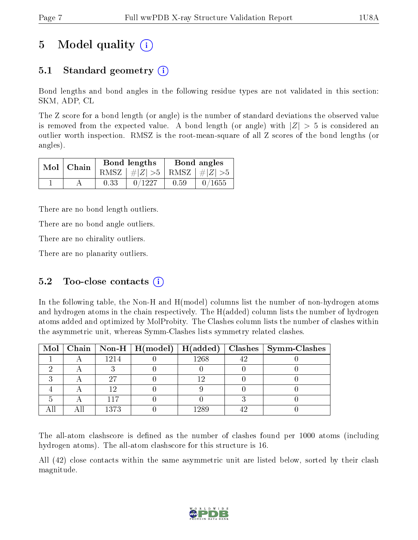# 5 Model quality  $(i)$

# 5.1 Standard geometry (i)

Bond lengths and bond angles in the following residue types are not validated in this section: SKM, ADP, CL

The Z score for a bond length (or angle) is the number of standard deviations the observed value is removed from the expected value. A bond length (or angle) with  $|Z| > 5$  is considered an outlier worth inspection. RMSZ is the root-mean-square of all Z scores of the bond lengths (or angles).

| $Mol$ Chain |      | Bond lengths                    | Bond angles |        |  |
|-------------|------|---------------------------------|-------------|--------|--|
|             |      | RMSZ $ #Z  > 5$ RMSZ $ #Z  > 5$ |             |        |  |
|             | 0.33 | 0/1227                          | 0.59        | 0/1655 |  |

There are no bond length outliers.

There are no bond angle outliers.

There are no chirality outliers.

There are no planarity outliers.

### 5.2 Too-close contacts  $(i)$

In the following table, the Non-H and H(model) columns list the number of non-hydrogen atoms and hydrogen atoms in the chain respectively. The H(added) column lists the number of hydrogen atoms added and optimized by MolProbity. The Clashes column lists the number of clashes within the asymmetric unit, whereas Symm-Clashes lists symmetry related clashes.

|  |      |      | Mol   Chain   Non-H   H(model)   H(added)   Clashes   Symm-Clashes |
|--|------|------|--------------------------------------------------------------------|
|  | 1214 | 1268 |                                                                    |
|  |      |      |                                                                    |
|  | 97   |      |                                                                    |
|  |      |      |                                                                    |
|  |      |      |                                                                    |
|  | 1373 | 1980 |                                                                    |

The all-atom clashscore is defined as the number of clashes found per 1000 atoms (including hydrogen atoms). The all-atom clashscore for this structure is 16.

All (42) close contacts within the same asymmetric unit are listed below, sorted by their clash magnitude.

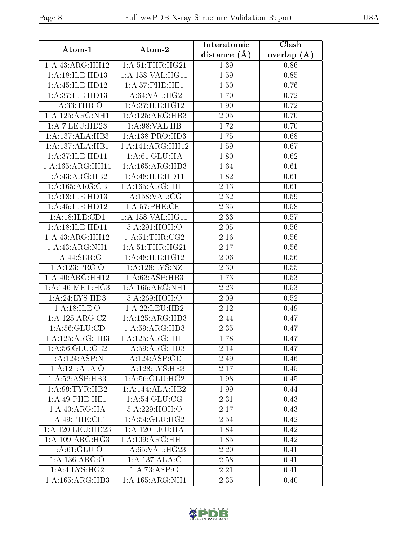| Atom-1                     | Atom-2               | Interatomic    | Clash         |
|----------------------------|----------------------|----------------|---------------|
|                            |                      | distance $(A)$ | overlap $(A)$ |
| 1:A:43:ARG:HH12            | 1: A:51:THR:HG21     | 1.39           | 0.86          |
| 1: A:18: ILE: HD13         | 1: A: 158: VAL:HGI1  | 1.59           | 0.85          |
| 1: A: 45: ILE: HD12        | 1:A:57:PHE:HE1       | 1.50           | 0.76          |
| 1: A:37: ILE: HD13         | 1: A:64:VAL:HG21     | 1.70           | 0.72          |
| 1: A: 33: THE: O           | 1: A:37: ILE: HG12   | 1.90           | 0.72          |
| 1:A:125:ARG:NH1            | 1:A:125:ARG:HB3      | 2.05           | 0.70          |
| 1:A:7:LEU:HD23             | 1:A:98:VAL:HB        | 1.72           | 0.70          |
| 1:A:137:ALA:HB3            | 1:A:138:PRO:HD3      | 1.75           | 0.68          |
| 1:A:137:ALA:HB1            | 1:A:141:ARG:HH12     | 1.59           | 0.67          |
| 1: A:37: ILE: HD11         | 1: A:61: GLU: HA     | 1.80           | 0.62          |
| 1:A:165:ARG:HH11           | 1:A:165:ARG:HB3      | 1.64           | 0.61          |
| 1:A:43:ARG:HB2             | 1:A:48:ILE:HD11      | 1.82           | 0.61          |
| 1: A:165:ARG:CB            | 1: A: 165: ARG: HH11 | 2.13           | 0.61          |
| 1: A:18: ILE: HD13         | 1: A: 158: VAL: CG1  | 2.32           | 0.59          |
| 1: A: 45: ILE: HD12        | 1: A:57:PHE:CE1      | 2.35           | 0.58          |
| 1:A:18:ILE:CD1             | 1:A:158:VAL:HG11     | 2.33           | 0.57          |
| 1: A:18: ILE: HDI1         | 5:A:291:HOH:O        | 2.05           | 0.56          |
| 1:A:43:ARG:HH12            | 1: A:51:THR:CG2      | 2.16           | 0.56          |
| 1: A: 43: ARG: NH1         | 1: A:51:THR:HG21     | 2.17           | 0.56          |
| 1: A:44: SER:O             | 1: A:48: ILE: HG12   | 2.06           | 0.56          |
| 1:A:123:PRO:O              | 1: A: 128: LYS: NZ   | 2.30           | 0.55          |
| 1:A:40:ARG:HH12            | 1: A:63:ASP:HB3      | 1.73           | 0.53          |
| 1: A:146:MET:HG3           | 1: A: 165: ARG: NH1  | 2.23           | 0.53          |
| 1: A:24: LYS:HD3           | 5:A:269:HOH:O        | 2.09           | 0.52          |
| 1: A:18: ILE: O            | 1:A:22:LEU:HB2       | 2.12           | 0.49          |
| 1:A:125:ARG:CZ             | 1:A:125:ARG:HB3      | 2.44           | 0.47          |
| 1: A:56: GLU:CD            | 1:A:59:ARG:HD3       | 2.35           | 0.47          |
| 1:A:125:ARG:HB3            | 1:A:125:ARG:HH11     | 1.78           | 0.47          |
| 1: A:56: GLU:OE2           | 1:A:59:ARG:HD3       | 2.14           | 0.47          |
| 1:A:124:ASP:N              | 1:A:124:ASP:OD1      | 2.49           | 0.46          |
| 1:A:121:ALA:O              | 1: A:128: LYS: HE3   | 2.17           | 0.45          |
| 1:A:52:ASP:HB3             | 1:A:56:GLU:HG2       | 1.98           | 0.45          |
| 1: A:99:TYR:HB2            | 1:A:144:ALA:HB2      | 1.99           | 0.44          |
| 1:A:49:PHE:HE1             | 1: A:54: GLU:CG      | 2.31           | 0.43          |
| $1:A:40:ARG:\overline{HA}$ | 5:A:229:HOH:O        | 2.17           | 0.43          |
| 1: A:49: PHE:CE1           | 1: A:54: GLU:H G2    | 2.54           | 0.42          |
| 1:A:120:LEU:HD23           | 1: A:120:LEU:HA      | 1.84           | 0.42          |
| 1:A:109:ARG:HG3            | 1:A:109:ARG:HH11     | 1.85           | 0.42          |
| 1: A:61: GLU:O             | 1: A:65: VAL:HG23    | 2.20           | 0.41          |
| 1:A:136:ARG:O              | 1:A:137:ALA:C        | 2.58           | 0.41          |
| $1:A:4:\text{LYS}:HG2$     | 1:A:73:ASP:O         | 2.21           | 0.41          |
| 1:A:165:ARG:HB3            | 1: A: 165: ARG: NH1  | 2.35           | 0.40          |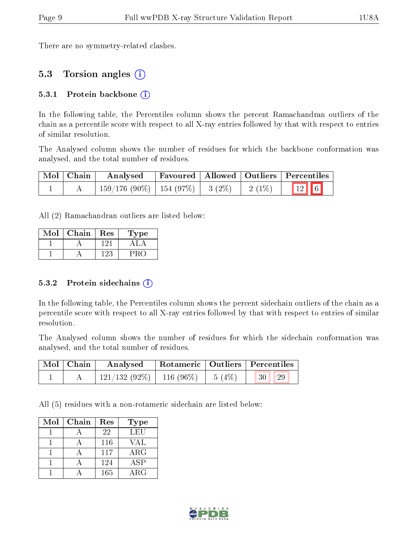There are no symmetry-related clashes.

### 5.3 Torsion angles (i)

#### 5.3.1 Protein backbone  $(i)$

In the following table, the Percentiles column shows the percent Ramachandran outliers of the chain as a percentile score with respect to all X-ray entries followed by that with respect to entries of similar resolution.

The Analysed column shows the number of residues for which the backbone conformation was analysed, and the total number of residues.

| $\mid$ Mol $\mid$ Chain | Analysed                                |  |          | Favoured   Allowed   Outliers   Percentiles |
|-------------------------|-----------------------------------------|--|----------|---------------------------------------------|
|                         | $159/176$ (90\%)   154 (97\%)   3 (2\%) |  | $2(1\%)$ | $\boxed{12}$                                |

All (2) Ramachandran outliers are listed below:

| Mol | Chain | Res | L'ype |
|-----|-------|-----|-------|
|     |       |     |       |
|     |       |     |       |

#### 5.3.2 Protein sidechains  $(i)$

In the following table, the Percentiles column shows the percent sidechain outliers of the chain as a percentile score with respect to all X-ray entries followed by that with respect to entries of similar resolution.

The Analysed column shows the number of residues for which the sidechain conformation was analysed, and the total number of residues.

| Mol   Chain | Analysed                           |  | Rotameric   Outliers   Percentiles |  |
|-------------|------------------------------------|--|------------------------------------|--|
|             | $121/132(92\%)$ 116 (96\%) 5 (4\%) |  | $\parallel$ 30 29                  |  |

All (5) residues with a non-rotameric sidechain are listed below:

| Mol | Chain | Res | <b>Type</b> |
|-----|-------|-----|-------------|
|     |       | 22  | <b>LEU</b>  |
|     |       | 116 | VAL         |
|     |       | 117 | $\rm{ARG}$  |
|     |       | 124 | ASP         |
|     |       | 165 | $\rm{ARG}$  |

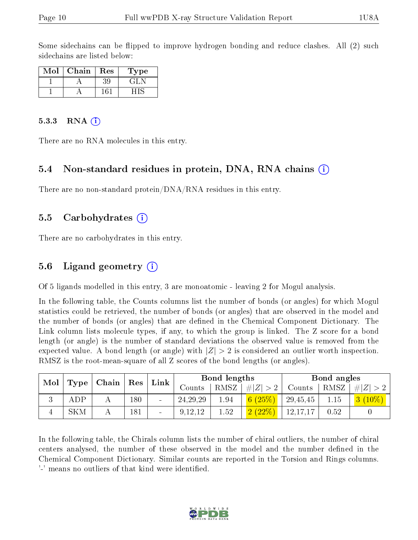Some sidechains can be flipped to improve hydrogen bonding and reduce clashes. All (2) such sidechains are listed below:

| Mol | Chain | Res | L'ype |
|-----|-------|-----|-------|
|     |       |     | . ÷I  |
|     |       |     |       |

#### 5.3.3 RNA  $(i)$

There are no RNA molecules in this entry.

#### 5.4 Non-standard residues in protein, DNA, RNA chains (i)

There are no non-standard protein/DNA/RNA residues in this entry.

#### 5.5 Carbohydrates (i)

There are no carbohydrates in this entry.

#### 5.6 Ligand geometry (i)

Of 5 ligands modelled in this entry, 3 are monoatomic - leaving 2 for Mogul analysis.

In the following table, the Counts columns list the number of bonds (or angles) for which Mogul statistics could be retrieved, the number of bonds (or angles) that are observed in the model and the number of bonds (or angles) that are defined in the Chemical Component Dictionary. The Link column lists molecule types, if any, to which the group is linked. The Z score for a bond length (or angle) is the number of standard deviations the observed value is removed from the expected value. A bond length (or angle) with  $|Z| > 2$  is considered an outlier worth inspection. RMSZ is the root-mean-square of all Z scores of the bond lengths (or angles).

|     |      |                     |             | Bond lengths<br>Link |              |                |             | Bond angles |      |          |
|-----|------|---------------------|-------------|----------------------|--------------|----------------|-------------|-------------|------|----------|
| Mol | Type | $\mid$ Chain $\mid$ | $\vert$ Res |                      | Counts       | RMSZ           | # $ Z  > 2$ | Counts      | RMSZ | # Z      |
| J.  | ADP  |                     | $180\,$     | $\blacksquare$       | 24, 29, 29   | 1.94           | 6(25%)      | 29,45,45    | 1.15 | $(10\%)$ |
| 4   | SKM  |                     | 181         | -                    | ,12,12<br>9. | $1.52^{\circ}$ |             | 12,17,17    | 0.52 |          |

In the following table, the Chirals column lists the number of chiral outliers, the number of chiral centers analysed, the number of these observed in the model and the number defined in the Chemical Component Dictionary. Similar counts are reported in the Torsion and Rings columns. '-' means no outliers of that kind were identified.

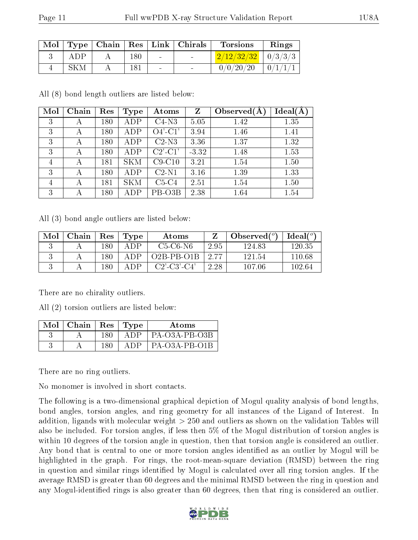| Mol |     |         |                          | $\mid$ Type $\mid$ Chain $\mid$ Res $\mid$ Link $\mid$ Chirals | <b>Torsions</b>        | Rings       |
|-----|-----|---------|--------------------------|----------------------------------------------------------------|------------------------|-------------|
|     | ADP | $180\,$ | $\sim$                   | <b>Contract Contract</b>                                       | $2/12/32/32$   0/3/3/3 |             |
|     |     | 181     | $\overline{\phantom{a}}$ | $\overline{\phantom{0}}$                                       | 0/0/20/20              | $\mid 0/1/$ |

All (8) bond length outliers are listed below:

| Mol            | Chain | Res | Type       | Atoms                                 | Z       | Observed $(A)$ | Ideal(A) |
|----------------|-------|-----|------------|---------------------------------------|---------|----------------|----------|
| 3              | А     | 180 | ADP        | $C4-N3$                               | 5.05    | 1.42           | 1.35     |
| 3              | А     | 180 | ADP        | $O4'$ -C1'                            | 3.94    | 1.46           | 1.41     |
| 3              | А     | 180 | ADP        | $C2-N3$                               | 3.36    | 1.37           | 1.32     |
| 3              | А     | 180 | ADP        | $C2$ <sup>'</sup> - $C1$ <sup>'</sup> | $-3.32$ | 1.48           | 1.53     |
| $\overline{4}$ | А     | 181 | <b>SKM</b> | $C9-C10$                              | 3.21    | 1.54           | 1.50     |
| 3              | А     | 180 | ADP        | $C2-N1$                               | 3.16    | 1.39           | 1.33     |
| 4              | А     | 181 | <b>SKM</b> | $C5-C4$                               | 2.51    | 1.54           | 1.50     |
| 3              | А     | 180 | ADP        | PB-O3B                                | 2.38    | 1.64           | 1.54     |

All (3) bond angle outliers are listed below:

| Mol | Chain | Res | Type | Atoms            |      | Observed $(°)$ | $Ideal(^{\circ})$ |
|-----|-------|-----|------|------------------|------|----------------|-------------------|
|     |       | 180 | A DP | $C5-C6-N6$       | 2.95 | 124.83         | 120.35            |
|     |       | 180 | A DP | $O2B$ -PB- $O1B$ | 2.77 | 121.54         | 110.68            |
|     |       | 180 | A DP | $C2'$ -C3'-C4'   | 2.28 | 107.06         | 102.64            |

There are no chirality outliers.

All (2) torsion outliers are listed below:

| Mol | $\mid$ Chain |      | $\pm$ Res $\pm$ Type | Atoms           |
|-----|--------------|------|----------------------|-----------------|
|     |              | 180. |                      | PA-O3A-PB-O3B   |
|     |              |      |                      | $PA-O3A-PB-O1B$ |

There are no ring outliers.

No monomer is involved in short contacts.

The following is a two-dimensional graphical depiction of Mogul quality analysis of bond lengths, bond angles, torsion angles, and ring geometry for all instances of the Ligand of Interest. In addition, ligands with molecular weight > 250 and outliers as shown on the validation Tables will also be included. For torsion angles, if less then 5% of the Mogul distribution of torsion angles is within 10 degrees of the torsion angle in question, then that torsion angle is considered an outlier. Any bond that is central to one or more torsion angles identified as an outlier by Mogul will be highlighted in the graph. For rings, the root-mean-square deviation (RMSD) between the ring in question and similar rings identified by Mogul is calculated over all ring torsion angles. If the average RMSD is greater than 60 degrees and the minimal RMSD between the ring in question and any Mogul-identified rings is also greater than 60 degrees, then that ring is considered an outlier.

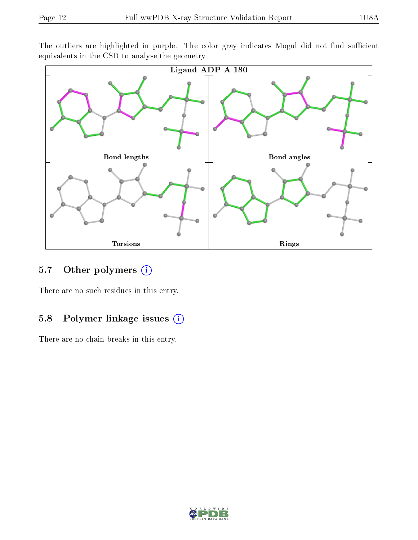The outliers are highlighted in purple. The color gray indicates Mogul did not find sufficient equivalents in the CSD to analyse the geometry.



### 5.7 [O](https://www.wwpdb.org/validation/2017/XrayValidationReportHelp#nonstandard_residues_and_ligands)ther polymers  $(i)$

There are no such residues in this entry.

### 5.8 Polymer linkage issues (i)

There are no chain breaks in this entry.

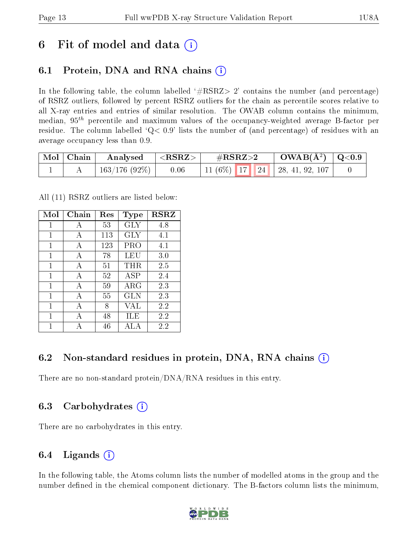# 6 Fit of model and data  $\left( \cdot \right)$

# 6.1 Protein, DNA and RNA chains (i)

In the following table, the column labelled  $#RSRZ>2'$  contains the number (and percentage) of RSRZ outliers, followed by percent RSRZ outliers for the chain as percentile scores relative to all X-ray entries and entries of similar resolution. The OWAB column contains the minimum, median,  $95<sup>th</sup>$  percentile and maximum values of the occupancy-weighted average B-factor per residue. The column labelled  $Q< 0.9$  lists the number of (and percentage) of residues with an average occupancy less than 0.9.

| $\mid$ Mol $\mid$ Chain | Analysed                  | $ \langle \mathrm{RSRZ}\rangle $ | $\#\text{RSRZ}\text{>2}$            | $\text{OWAB}(\AA^2) \mid \text{Q}<0.9$ |  |
|-------------------------|---------------------------|----------------------------------|-------------------------------------|----------------------------------------|--|
|                         | $\pm$ 163/176 (92%) $\pm$ | 0.06                             | 11 (6%)   17   24   28, 41, 92, 107 |                                        |  |

All (11) RSRZ outliers are listed below:

| Mol | Chain | Res<br><b>Type</b> |                      | <b>RSRZ</b> |  |
|-----|-------|--------------------|----------------------|-------------|--|
| 1   | А     | 53                 | GLY                  | 4.8         |  |
| 1   | A     | 113                | GLY                  | 4.1         |  |
| 1   | A     | 123                | PRO                  | 4.1         |  |
| 1   | A     | 78                 | LEU                  | 3.0         |  |
| 1   | A     | 51                 | THR.                 | 2.5         |  |
| 1   | A     | 52                 | $\operatorname{ASP}$ | 2.4         |  |
| 1   | A     | 59                 | ARG                  | 2.3         |  |
| 1   | A     | 55                 | GLN                  | 2.3         |  |
| 1   | А     | 8                  | VAL                  | 2.2         |  |
| 1   | A     | 48                 | ILE                  | 2.2         |  |
|     |       | 46                 | ALA                  | 2.2         |  |

## 6.2 Non-standard residues in protein, DNA, RNA chains (i)

There are no non-standard protein/DNA/RNA residues in this entry.

### 6.3 Carbohydrates (i)

There are no carbohydrates in this entry.

## 6.4 Ligands  $(i)$

In the following table, the Atoms column lists the number of modelled atoms in the group and the number defined in the chemical component dictionary. The B-factors column lists the minimum,